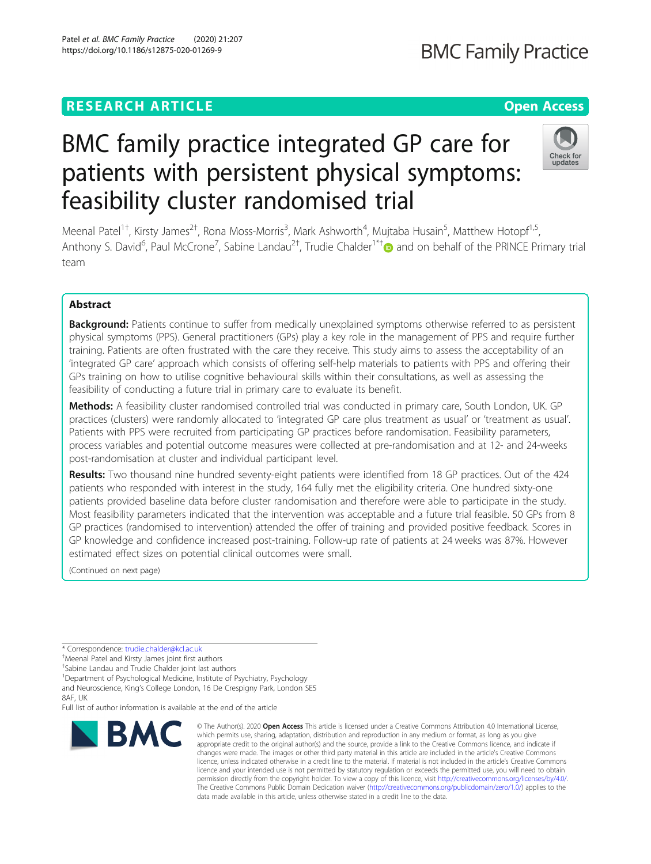# **RESEARCH ARTICLE Example 2018 12:30 THE Open Access**

# BMC family practice integrated GP care for patients with persistent physical symptoms: feasibility cluster randomised trial

Meenal Patel<sup>1†</sup>, Kirsty James<sup>2†</sup>, Rona Moss-Morris<sup>3</sup>, Mark Ashworth<sup>4</sup>, Mujtaba Husain<sup>5</sup>, Matthew Hotopf<sup>1,5</sup>, Anthony S. David<sup>6</sup>, Paul McCrone<sup>7</sup>, Sabine Landau<sup>2†</sup>, Trudie Chalder<sup>1\*†</sup> and on behalf of the PRINCE Primary trial team

## Abstract

**Background:** Patients continue to suffer from medically unexplained symptoms otherwise referred to as persistent physical symptoms (PPS). General practitioners (GPs) play a key role in the management of PPS and require further training. Patients are often frustrated with the care they receive. This study aims to assess the acceptability of an 'integrated GP care' approach which consists of offering self-help materials to patients with PPS and offering their GPs training on how to utilise cognitive behavioural skills within their consultations, as well as assessing the feasibility of conducting a future trial in primary care to evaluate its benefit.

Methods: A feasibility cluster randomised controlled trial was conducted in primary care, South London, UK. GP practices (clusters) were randomly allocated to 'integrated GP care plus treatment as usual' or 'treatment as usual'. Patients with PPS were recruited from participating GP practices before randomisation. Feasibility parameters, process variables and potential outcome measures were collected at pre-randomisation and at 12- and 24-weeks post-randomisation at cluster and individual participant level.

Results: Two thousand nine hundred seventy-eight patients were identified from 18 GP practices. Out of the 424 patients who responded with interest in the study, 164 fully met the eligibility criteria. One hundred sixty-one patients provided baseline data before cluster randomisation and therefore were able to participate in the study. Most feasibility parameters indicated that the intervention was acceptable and a future trial feasible. 50 GPs from 8 GP practices (randomised to intervention) attended the offer of training and provided positive feedback. Scores in GP knowledge and confidence increased post-training. Follow-up rate of patients at 24 weeks was 87%. However estimated effect sizes on potential clinical outcomes were small.

(Continued on next page)

\* Correspondence: [trudie.chalder@kcl.ac.uk](mailto:trudie.chalder@kcl.ac.uk) †

Meenal Patel and Kirsty James joint first authors

† Sabine Landau and Trudie Chalder joint last authors

<sup>1</sup>Department of Psychological Medicine, Institute of Psychiatry, Psychology

and Neuroscience, King's College London, 16 De Crespigny Park, London SE5 8AF UK

Full list of author information is available at the end of the article

## Patel et al. BMC Family Practice (2020) 21:207 https://doi.org/10.1186/s12875-020-01269-9



© The Author(s), 2020 **Open Access** This article is licensed under a Creative Commons Attribution 4.0 International License, which permits use, sharing, adaptation, distribution and reproduction in any medium or format, as long as you give appropriate credit to the original author(s) and the source, provide a link to the Creative Commons licence, and indicate if changes were made. The images or other third party material in this article are included in the article's Creative Commons licence, unless indicated otherwise in a credit line to the material. If material is not included in the article's Creative Commons licence and your intended use is not permitted by statutory regulation or exceeds the permitted use, you will need to obtain permission directly from the copyright holder. To view a copy of this licence, visit [http://creativecommons.org/licenses/by/4.0/.](http://creativecommons.org/licenses/by/4.0/) The Creative Commons Public Domain Dedication waiver [\(http://creativecommons.org/publicdomain/zero/1.0/](http://creativecommons.org/publicdomain/zero/1.0/)) applies to the data made available in this article, unless otherwise stated in a credit line to the data.



# **BMC Family Practice**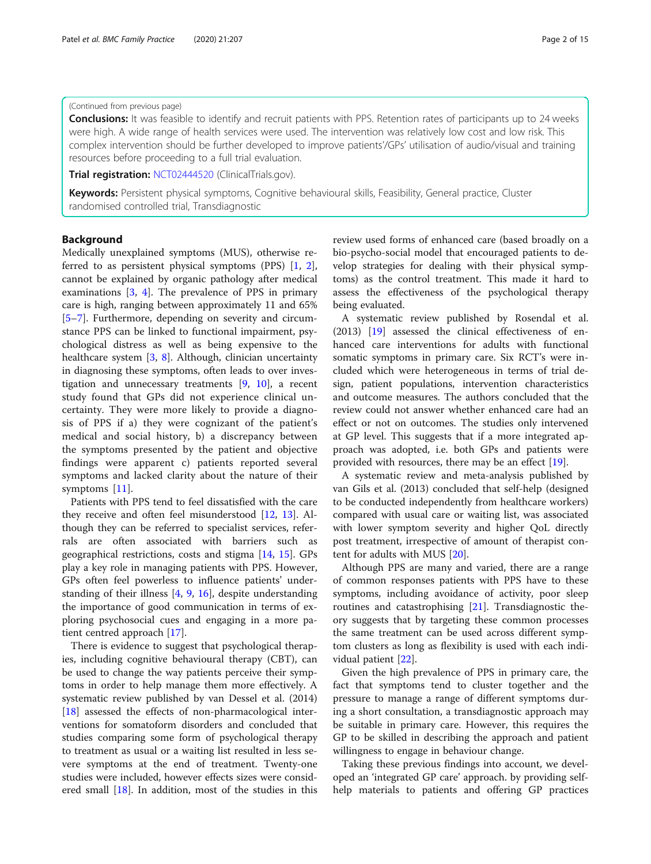#### (Continued from previous page)

**Conclusions:** It was feasible to identify and recruit patients with PPS. Retention rates of participants up to 24 weeks were high. A wide range of health services were used. The intervention was relatively low cost and low risk. This complex intervention should be further developed to improve patients'/GPs' utilisation of audio/visual and training resources before proceeding to a full trial evaluation.

Trial registration: [NCT02444520](https://clinicaltrials.gov/ct2/show/NCT02444520) (ClinicalTrials.gov).

Keywords: Persistent physical symptoms, Cognitive behavioural skills, Feasibility, General practice, Cluster randomised controlled trial, Transdiagnostic

## Background

Medically unexplained symptoms (MUS), otherwise referred to as persistent physical symptoms (PPS) [[1,](#page-13-0) [2](#page-13-0)], cannot be explained by organic pathology after medical examinations [\[3](#page-13-0), [4\]](#page-13-0). The prevalence of PPS in primary care is high, ranging between approximately 11 and 65% [[5](#page-13-0)–[7\]](#page-13-0). Furthermore, depending on severity and circumstance PPS can be linked to functional impairment, psychological distress as well as being expensive to the healthcare system [\[3](#page-13-0), [8\]](#page-13-0). Although, clinician uncertainty in diagnosing these symptoms, often leads to over investigation and unnecessary treatments [[9,](#page-13-0) [10](#page-13-0)], a recent study found that GPs did not experience clinical uncertainty. They were more likely to provide a diagnosis of PPS if a) they were cognizant of the patient's medical and social history, b) a discrepancy between the symptoms presented by the patient and objective findings were apparent c) patients reported several symptoms and lacked clarity about the nature of their symptoms [\[11](#page-13-0)].

Patients with PPS tend to feel dissatisfied with the care they receive and often feel misunderstood [[12,](#page-13-0) [13\]](#page-13-0). Although they can be referred to specialist services, referrals are often associated with barriers such as geographical restrictions, costs and stigma [[14](#page-13-0), [15\]](#page-13-0). GPs play a key role in managing patients with PPS. However, GPs often feel powerless to influence patients' understanding of their illness [\[4](#page-13-0), [9,](#page-13-0) [16\]](#page-13-0), despite understanding the importance of good communication in terms of exploring psychosocial cues and engaging in a more patient centred approach [[17\]](#page-13-0).

There is evidence to suggest that psychological therapies, including cognitive behavioural therapy (CBT), can be used to change the way patients perceive their symptoms in order to help manage them more effectively. A systematic review published by van Dessel et al. (2014) [[18\]](#page-13-0) assessed the effects of non-pharmacological interventions for somatoform disorders and concluded that studies comparing some form of psychological therapy to treatment as usual or a waiting list resulted in less severe symptoms at the end of treatment. Twenty-one studies were included, however effects sizes were considered small [[18\]](#page-13-0). In addition, most of the studies in this review used forms of enhanced care (based broadly on a bio-psycho-social model that encouraged patients to develop strategies for dealing with their physical symptoms) as the control treatment. This made it hard to assess the effectiveness of the psychological therapy being evaluated.

A systematic review published by Rosendal et al. (2013) [\[19](#page-13-0)] assessed the clinical effectiveness of enhanced care interventions for adults with functional somatic symptoms in primary care. Six RCT's were included which were heterogeneous in terms of trial design, patient populations, intervention characteristics and outcome measures. The authors concluded that the review could not answer whether enhanced care had an effect or not on outcomes. The studies only intervened at GP level. This suggests that if a more integrated approach was adopted, i.e. both GPs and patients were provided with resources, there may be an effect [\[19](#page-13-0)].

A systematic review and meta-analysis published by van Gils et al. (2013) concluded that self-help (designed to be conducted independently from healthcare workers) compared with usual care or waiting list, was associated with lower symptom severity and higher QoL directly post treatment, irrespective of amount of therapist content for adults with MUS [\[20\]](#page-13-0).

Although PPS are many and varied, there are a range of common responses patients with PPS have to these symptoms, including avoidance of activity, poor sleep routines and catastrophising [\[21](#page-13-0)]. Transdiagnostic theory suggests that by targeting these common processes the same treatment can be used across different symptom clusters as long as flexibility is used with each individual patient [[22](#page-13-0)].

Given the high prevalence of PPS in primary care, the fact that symptoms tend to cluster together and the pressure to manage a range of different symptoms during a short consultation, a transdiagnostic approach may be suitable in primary care. However, this requires the GP to be skilled in describing the approach and patient willingness to engage in behaviour change.

Taking these previous findings into account, we developed an 'integrated GP care' approach. by providing selfhelp materials to patients and offering GP practices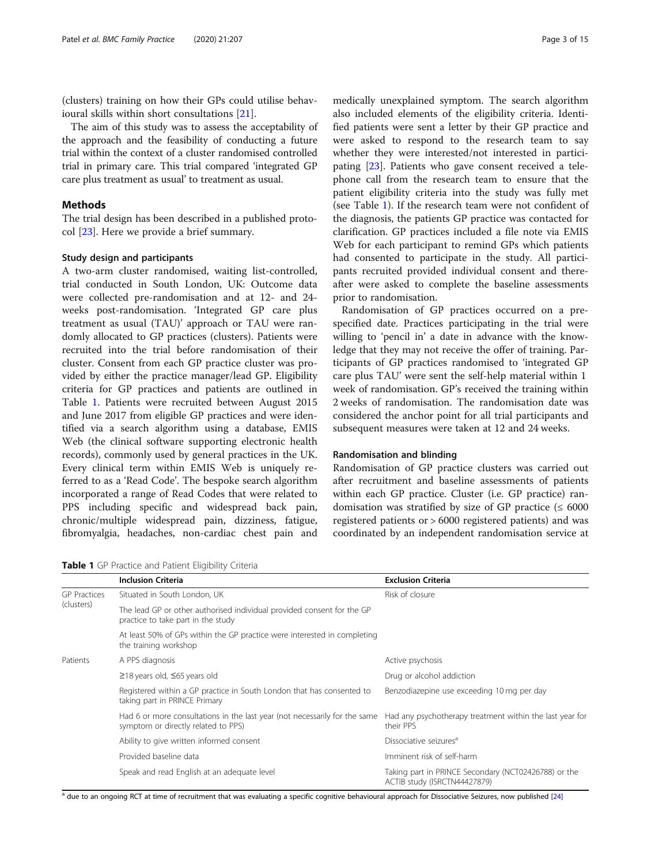<span id="page-2-0"></span>(clusters) training on how their GPs could utilise behavioural skills within short consultations [\[21](#page-13-0)].

The aim of this study was to assess the acceptability of the approach and the feasibility of conducting a future trial within the context of a cluster randomised controlled trial in primary care. This trial compared 'integrated GP care plus treatment as usual' to treatment as usual.

## Methods

The trial design has been described in a published protocol [[23\]](#page-13-0). Here we provide a brief summary.

## Study design and participants

A two-arm cluster randomised, waiting list-controlled, trial conducted in South London, UK: Outcome data were collected pre-randomisation and at 12- and 24 weeks post-randomisation. 'Integrated GP care plus treatment as usual (TAU)' approach or TAU were randomly allocated to GP practices (clusters). Patients were recruited into the trial before randomisation of their cluster. Consent from each GP practice cluster was provided by either the practice manager/lead GP. Eligibility criteria for GP practices and patients are outlined in Table 1. Patients were recruited between August 2015 and June 2017 from eligible GP practices and were identified via a search algorithm using a database, EMIS Web (the clinical software supporting electronic health records), commonly used by general practices in the UK. Every clinical term within EMIS Web is uniquely referred to as a 'Read Code'. The bespoke search algorithm incorporated a range of Read Codes that were related to PPS including specific and widespread back pain, chronic/multiple widespread pain, dizziness, fatigue, fibromyalgia, headaches, non-cardiac chest pain and

Table 1 GP Practice and Patient Eligibility Criteria

medically unexplained symptom. The search algorithm also included elements of the eligibility criteria. Identified patients were sent a letter by their GP practice and were asked to respond to the research team to say whether they were interested/not interested in participating [[23\]](#page-13-0). Patients who gave consent received a telephone call from the research team to ensure that the patient eligibility criteria into the study was fully met (see Table 1). If the research team were not confident of the diagnosis, the patients GP practice was contacted for clarification. GP practices included a file note via EMIS Web for each participant to remind GPs which patients had consented to participate in the study. All participants recruited provided individual consent and thereafter were asked to complete the baseline assessments prior to randomisation.

Randomisation of GP practices occurred on a prespecified date. Practices participating in the trial were willing to 'pencil in' a date in advance with the knowledge that they may not receive the offer of training. Participants of GP practices randomised to 'integrated GP care plus TAU' were sent the self-help material within 1 week of randomisation. GP's received the training within 2 weeks of randomisation. The randomisation date was considered the anchor point for all trial participants and subsequent measures were taken at 12 and 24 weeks.

## Randomisation and blinding

Randomisation of GP practice clusters was carried out after recruitment and baseline assessments of patients within each GP practice. Cluster (i.e. GP practice) randomisation was stratified by size of GP practice  $( \leq 6000$ registered patients or > 6000 registered patients) and was coordinated by an independent randomisation service at

|                     | <b>Inclusion Criteria</b>                                                                                         | <b>Exclusion Criteria</b>                                                            |  |
|---------------------|-------------------------------------------------------------------------------------------------------------------|--------------------------------------------------------------------------------------|--|
| <b>GP</b> Practices | Situated in South London, UK                                                                                      | Risk of closure                                                                      |  |
| (clusters)          | The lead GP or other authorised individual provided consent for the GP<br>practice to take part in the study      |                                                                                      |  |
|                     | At least 50% of GPs within the GP practice were interested in completing<br>the training workshop                 |                                                                                      |  |
| Patients            | A PPS diagnosis                                                                                                   | Active psychosis                                                                     |  |
|                     | $≥18$ years old, $≤65$ years old                                                                                  | Drug or alcohol addiction                                                            |  |
|                     | Registered within a GP practice in South London that has consented to<br>taking part in PRINCE Primary            | Benzodiazepine use exceeding 10 mg per day                                           |  |
|                     | Had 6 or more consultations in the last year (not necessarily for the same<br>symptom or directly related to PPS) | Had any psychotherapy treatment within the last year for<br>their PPS                |  |
|                     | Ability to give written informed consent                                                                          | Dissociative seizures <sup>a</sup>                                                   |  |
|                     | Provided baseline data                                                                                            | Imminent risk of self-harm                                                           |  |
|                     | Speak and read English at an adequate level                                                                       | Taking part in PRINCE Secondary (NCT02426788) or the<br>ACTIB study (ISRCTN44427879) |  |

<sup>a</sup> due to an ongoing RCT at time of recruitment that was evaluating a specific cognitive behavioural approach for Dissociative Seizures, now published [\[24\]](#page-13-0)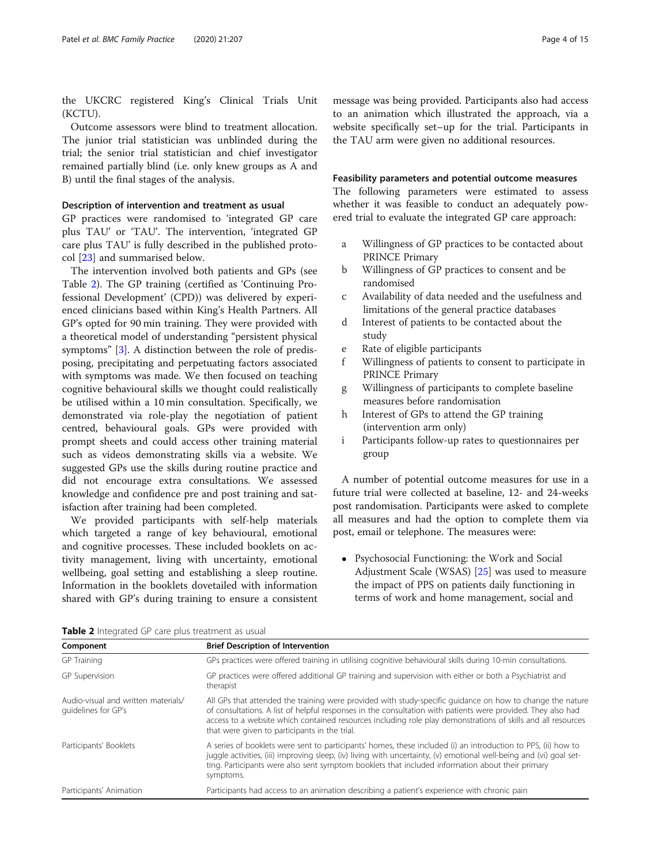the UKCRC registered King's Clinical Trials Unit (KCTU).

Outcome assessors were blind to treatment allocation. The junior trial statistician was unblinded during the trial; the senior trial statistician and chief investigator remained partially blind (i.e. only knew groups as A and B) until the final stages of the analysis.

#### Description of intervention and treatment as usual

GP practices were randomised to 'integrated GP care plus TAU' or 'TAU'. The intervention, 'integrated GP care plus TAU' is fully described in the published protocol [[23\]](#page-13-0) and summarised below.

The intervention involved both patients and GPs (see Table 2). The GP training (certified as 'Continuing Professional Development' (CPD)) was delivered by experienced clinicians based within King's Health Partners. All GP's opted for 90 min training. They were provided with a theoretical model of understanding "persistent physical symptoms" [[3](#page-13-0)]. A distinction between the role of predisposing, precipitating and perpetuating factors associated with symptoms was made. We then focused on teaching cognitive behavioural skills we thought could realistically be utilised within a 10 min consultation. Specifically, we demonstrated via role-play the negotiation of patient centred, behavioural goals. GPs were provided with prompt sheets and could access other training material such as videos demonstrating skills via a website. We suggested GPs use the skills during routine practice and did not encourage extra consultations. We assessed knowledge and confidence pre and post training and satisfaction after training had been completed.

We provided participants with self-help materials which targeted a range of key behavioural, emotional and cognitive processes. These included booklets on activity management, living with uncertainty, emotional wellbeing, goal setting and establishing a sleep routine. Information in the booklets dovetailed with information shared with GP's during training to ensure a consistent message was being provided. Participants also had access to an animation which illustrated the approach, via a website specifically set–up for the trial. Participants in the TAU arm were given no additional resources.

## Feasibility parameters and potential outcome measures

The following parameters were estimated to assess whether it was feasible to conduct an adequately powered trial to evaluate the integrated GP care approach:

- a Willingness of GP practices to be contacted about PRINCE Primary
- b Willingness of GP practices to consent and be randomised
- c Availability of data needed and the usefulness and limitations of the general practice databases
- d Interest of patients to be contacted about the study
- e Rate of eligible participants
- f Willingness of patients to consent to participate in PRINCE Primary
- g Willingness of participants to complete baseline measures before randomisation
- h Interest of GPs to attend the GP training (intervention arm only)
- i Participants follow-up rates to questionnaires per group

A number of potential outcome measures for use in a future trial were collected at baseline, 12- and 24-weeks post randomisation. Participants were asked to complete all measures and had the option to complete them via post, email or telephone. The measures were:

 Psychosocial Functioning: the Work and Social Adjustment Scale (WSAS) [\[25\]](#page-13-0) was used to measure the impact of PPS on patients daily functioning in terms of work and home management, social and

| Table 2 Integrated GP care plus treatment as usual |  |
|----------------------------------------------------|--|
|----------------------------------------------------|--|

| Component                                                  | <b>Brief Description of Intervention</b>                                                                                                                                                                                                                                                                                                                                                   |
|------------------------------------------------------------|--------------------------------------------------------------------------------------------------------------------------------------------------------------------------------------------------------------------------------------------------------------------------------------------------------------------------------------------------------------------------------------------|
| <b>GP</b> Training                                         | GPs practices were offered training in utilising cognitive behavioural skills during 10-min consultations.                                                                                                                                                                                                                                                                                 |
| GP Supervision                                             | GP practices were offered additional GP training and supervision with either or both a Psychiatrist and<br>therapist                                                                                                                                                                                                                                                                       |
| Audio-visual and written materials/<br>quidelines for GP's | All GPs that attended the training were provided with study-specific guidance on how to change the nature<br>of consultations. A list of helpful responses in the consultation with patients were provided. They also had<br>access to a website which contained resources including role play demonstrations of skills and all resources<br>that were given to participants in the trial. |
| Participants' Booklets                                     | A series of booklets were sent to participants' homes, these included (i) an introduction to PPS, (ii) how to<br>juggle activities, (iii) improving sleep, (iv) living with uncertainty, (v) emotional well-being and (vi) goal set-<br>ting. Participants were also sent symptom booklets that included information about their primary<br>symptoms.                                      |
| Participants' Animation                                    | Participants had access to an animation describing a patient's experience with chronic pain                                                                                                                                                                                                                                                                                                |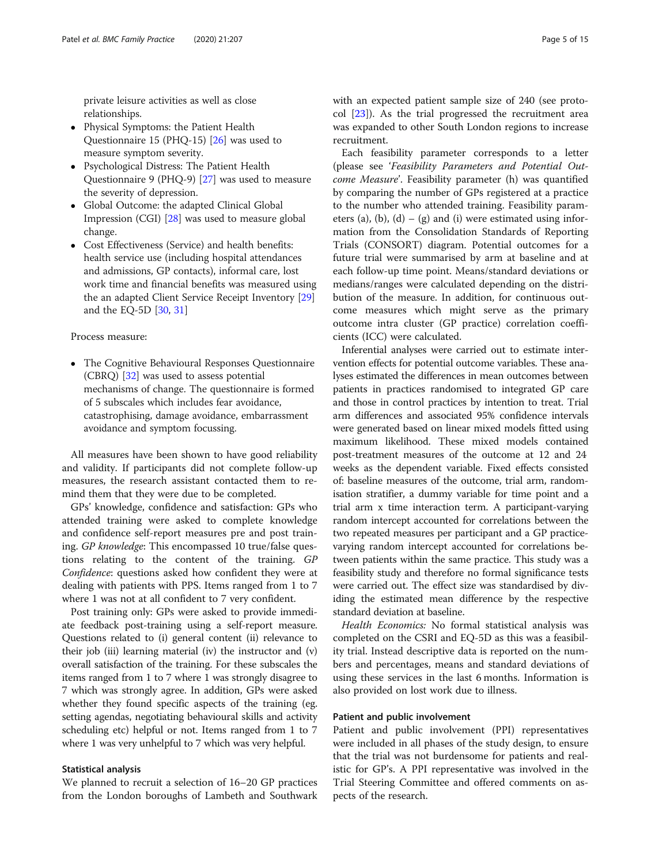private leisure activities as well as close relationships.

- Physical Symptoms: the Patient Health Questionnaire 15 (PHQ-15) [[26\]](#page-13-0) was used to measure symptom severity.
- Psychological Distress: The Patient Health Questionnaire 9 (PHQ-9) [\[27\]](#page-13-0) was used to measure the severity of depression.
- Global Outcome: the adapted Clinical Global Impression (CGI) [[28](#page-13-0)] was used to measure global change.
- Cost Effectiveness (Service) and health benefits: health service use (including hospital attendances and admissions, GP contacts), informal care, lost work time and financial benefits was measured using the an adapted Client Service Receipt Inventory [[29](#page-13-0)] and the EQ-5D [[30](#page-13-0), [31\]](#page-13-0)

#### Process measure:

 The Cognitive Behavioural Responses Questionnaire (CBRQ) [\[32\]](#page-13-0) was used to assess potential mechanisms of change. The questionnaire is formed of 5 subscales which includes fear avoidance, catastrophising, damage avoidance, embarrassment avoidance and symptom focussing.

All measures have been shown to have good reliability and validity. If participants did not complete follow-up measures, the research assistant contacted them to remind them that they were due to be completed.

GPs' knowledge, confidence and satisfaction: GPs who attended training were asked to complete knowledge and confidence self-report measures pre and post training. GP knowledge: This encompassed 10 true/false questions relating to the content of the training. GP Confidence: questions asked how confident they were at dealing with patients with PPS. Items ranged from 1 to 7 where 1 was not at all confident to 7 very confident.

Post training only: GPs were asked to provide immediate feedback post-training using a self-report measure. Questions related to (i) general content (ii) relevance to their job (iii) learning material (iv) the instructor and (v) overall satisfaction of the training. For these subscales the items ranged from 1 to 7 where 1 was strongly disagree to 7 which was strongly agree. In addition, GPs were asked whether they found specific aspects of the training (eg. setting agendas, negotiating behavioural skills and activity scheduling etc) helpful or not. Items ranged from 1 to 7 where 1 was very unhelpful to 7 which was very helpful.

## Statistical analysis

We planned to recruit a selection of 16–20 GP practices from the London boroughs of Lambeth and Southwark with an expected patient sample size of 240 (see protocol [[23\]](#page-13-0)). As the trial progressed the recruitment area was expanded to other South London regions to increase recruitment.

Each feasibility parameter corresponds to a letter (please see 'Feasibility Parameters and Potential Outcome Measure'. Feasibility parameter (h) was quantified by comparing the number of GPs registered at a practice to the number who attended training. Feasibility parameters (a), (b), (d) – (g) and (i) were estimated using information from the Consolidation Standards of Reporting Trials (CONSORT) diagram. Potential outcomes for a future trial were summarised by arm at baseline and at each follow-up time point. Means/standard deviations or medians/ranges were calculated depending on the distribution of the measure. In addition, for continuous outcome measures which might serve as the primary outcome intra cluster (GP practice) correlation coefficients (ICC) were calculated.

Inferential analyses were carried out to estimate intervention effects for potential outcome variables. These analyses estimated the differences in mean outcomes between patients in practices randomised to integrated GP care and those in control practices by intention to treat. Trial arm differences and associated 95% confidence intervals were generated based on linear mixed models fitted using maximum likelihood. These mixed models contained post-treatment measures of the outcome at 12 and 24 weeks as the dependent variable. Fixed effects consisted of: baseline measures of the outcome, trial arm, randomisation stratifier, a dummy variable for time point and a trial arm x time interaction term. A participant-varying random intercept accounted for correlations between the two repeated measures per participant and a GP practicevarying random intercept accounted for correlations between patients within the same practice. This study was a feasibility study and therefore no formal significance tests were carried out. The effect size was standardised by dividing the estimated mean difference by the respective standard deviation at baseline.

Health Economics: No formal statistical analysis was completed on the CSRI and EQ-5D as this was a feasibility trial. Instead descriptive data is reported on the numbers and percentages, means and standard deviations of using these services in the last 6 months. Information is also provided on lost work due to illness.

#### Patient and public involvement

Patient and public involvement (PPI) representatives were included in all phases of the study design, to ensure that the trial was not burdensome for patients and realistic for GP's. A PPI representative was involved in the Trial Steering Committee and offered comments on aspects of the research.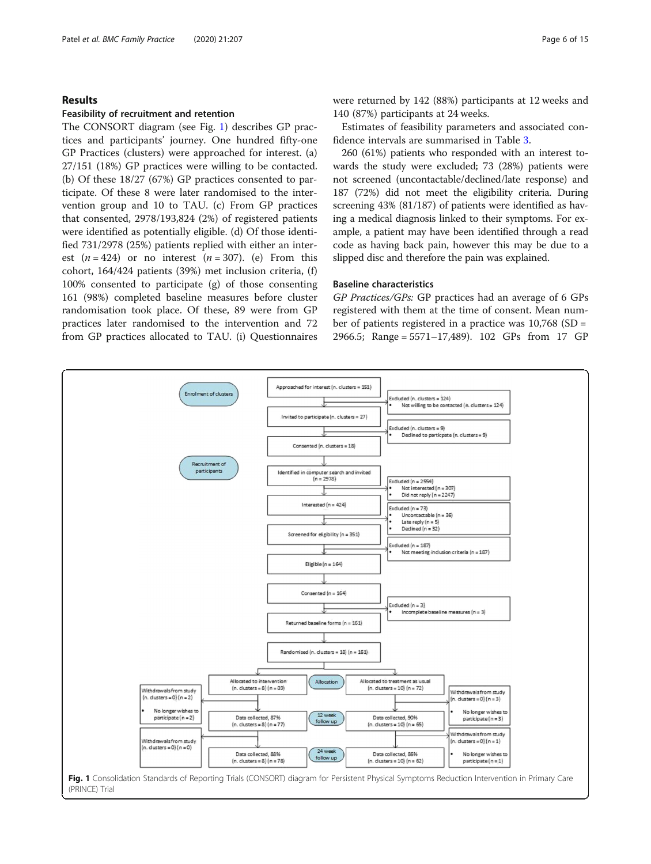## Results

#### Feasibility of recruitment and retention

The CONSORT diagram (see Fig. 1) describes GP practices and participants' journey. One hundred fifty-one GP Practices (clusters) were approached for interest. (a) 27/151 (18%) GP practices were willing to be contacted. (b) Of these 18/27 (67%) GP practices consented to participate. Of these 8 were later randomised to the intervention group and 10 to TAU. (c) From GP practices that consented, 2978/193,824 (2%) of registered patients were identified as potentially eligible. (d) Of those identified 731/2978 (25%) patients replied with either an interest  $(n = 424)$  or no interest  $(n = 307)$ . (e) From this cohort, 164/424 patients (39%) met inclusion criteria, (f) 100% consented to participate (g) of those consenting 161 (98%) completed baseline measures before cluster randomisation took place. Of these, 89 were from GP practices later randomised to the intervention and 72 from GP practices allocated to TAU. (i) Questionnaires were returned by 142 (88%) participants at 12 weeks and 140 (87%) participants at 24 weeks.

Estimates of feasibility parameters and associated confidence intervals are summarised in Table [3.](#page-6-0)

260 (61%) patients who responded with an interest towards the study were excluded; 73 (28%) patients were not screened (uncontactable/declined/late response) and 187 (72%) did not meet the eligibility criteria. During screening 43% (81/187) of patients were identified as having a medical diagnosis linked to their symptoms. For example, a patient may have been identified through a read code as having back pain, however this may be due to a slipped disc and therefore the pain was explained.

#### Baseline characteristics

GP Practices/GPs: GP practices had an average of 6 GPs registered with them at the time of consent. Mean number of patients registered in a practice was 10,768 (SD = 2966.5; Range = 5571–17,489). 102 GPs from 17 GP

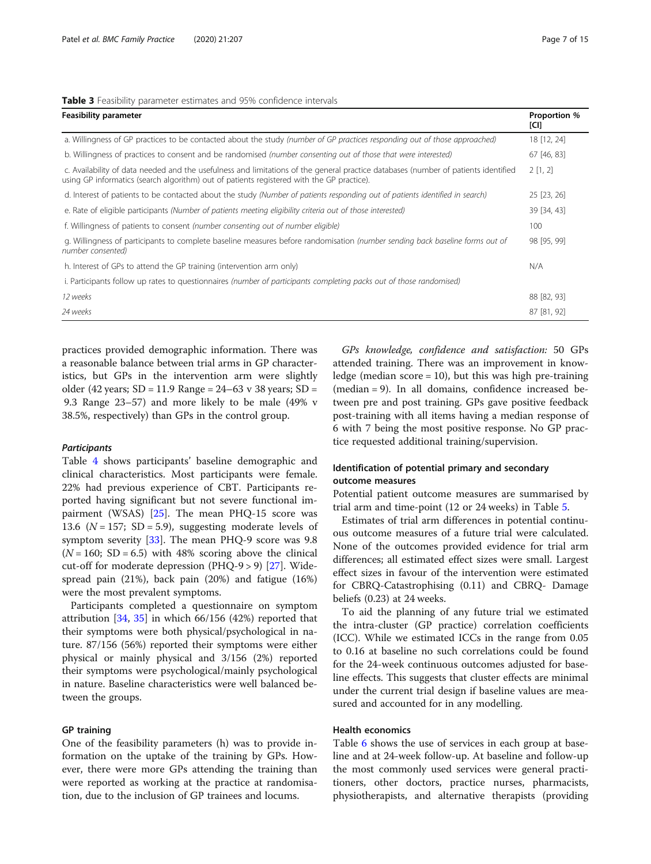#### <span id="page-6-0"></span>Table 3 Feasibility parameter estimates and 95% confidence intervals

| <b>Feasibility parameter</b>                                                                                                                                                                                                    | Proportion %<br>[CI] |
|---------------------------------------------------------------------------------------------------------------------------------------------------------------------------------------------------------------------------------|----------------------|
| a. Willingness of GP practices to be contacted about the study (number of GP practices responding out of those approached)                                                                                                      | 18 [12, 24]          |
| b. Willingness of practices to consent and be randomised (number consenting out of those that were interested)                                                                                                                  | 67 [46, 83]          |
| c. Availability of data needed and the usefulness and limitations of the general practice databases (number of patients identified<br>using GP informatics (search algorithm) out of patients registered with the GP practice). | 2[1, 2]              |
| d. Interest of patients to be contacted about the study (Number of patients responding out of patients identified in search)                                                                                                    | 25 [23, 26]          |
| e. Rate of eligible participants (Number of patients meeting eligibility criteria out of those interested)                                                                                                                      | 39 [34, 43]          |
| f. Willingness of patients to consent (number consenting out of number eligible)                                                                                                                                                | 100                  |
| g. Willingness of participants to complete baseline measures before randomisation (number sending back baseline forms out of<br>number consented)                                                                               | 98 [95, 99]          |
| h. Interest of GPs to attend the GP training (intervention arm only)                                                                                                                                                            | N/A                  |
| i. Participants follow up rates to questionnaires (number of participants completing packs out of those randomised)                                                                                                             |                      |
| 12 weeks                                                                                                                                                                                                                        | 88 [82, 93]          |
| 24 weeks                                                                                                                                                                                                                        | 87 [81, 92]          |

practices provided demographic information. There was a reasonable balance between trial arms in GP characteristics, but GPs in the intervention arm were slightly older (42 years; SD = 11.9 Range = 24–63 v 38 years; SD = 9.3 Range 23–57) and more likely to be male (49% v 38.5%, respectively) than GPs in the control group.

## **Participants**

Table [4](#page-7-0) shows participants' baseline demographic and clinical characteristics. Most participants were female. 22% had previous experience of CBT. Participants reported having significant but not severe functional impairment (WSAS) [\[25](#page-13-0)]. The mean PHQ-15 score was 13.6 ( $N = 157$ ; SD = 5.9), suggesting moderate levels of symptom severity [\[33](#page-13-0)]. The mean PHQ-9 score was 9.8  $(N = 160; SD = 6.5)$  with 48% scoring above the clinical cut-off for moderate depression (PHQ-9 > 9) [[27](#page-13-0)]. Widespread pain (21%), back pain (20%) and fatigue (16%) were the most prevalent symptoms.

Participants completed a questionnaire on symptom attribution  $[34, 35]$  $[34, 35]$  $[34, 35]$  $[34, 35]$  $[34, 35]$  in which 66/156 (42%) reported that their symptoms were both physical/psychological in nature. 87/156 (56%) reported their symptoms were either physical or mainly physical and 3/156 (2%) reported their symptoms were psychological/mainly psychological in nature. Baseline characteristics were well balanced between the groups.

## GP training

One of the feasibility parameters (h) was to provide information on the uptake of the training by GPs. However, there were more GPs attending the training than were reported as working at the practice at randomisation, due to the inclusion of GP trainees and locums.

GPs knowledge, confidence and satisfaction: 50 GPs attended training. There was an improvement in knowledge (median  $score = 10$ ), but this was high pre-training (median = 9). In all domains, confidence increased between pre and post training. GPs gave positive feedback post-training with all items having a median response of 6 with 7 being the most positive response. No GP practice requested additional training/supervision.

## Identification of potential primary and secondary outcome measures

Potential patient outcome measures are summarised by trial arm and time-point (12 or 24 weeks) in Table [5](#page-9-0).

Estimates of trial arm differences in potential continuous outcome measures of a future trial were calculated. None of the outcomes provided evidence for trial arm differences; all estimated effect sizes were small. Largest effect sizes in favour of the intervention were estimated for CBRQ-Catastrophising (0.11) and CBRQ- Damage beliefs (0.23) at 24 weeks.

To aid the planning of any future trial we estimated the intra-cluster (GP practice) correlation coefficients (ICC). While we estimated ICCs in the range from 0.05 to 0.16 at baseline no such correlations could be found for the 24-week continuous outcomes adjusted for baseline effects. This suggests that cluster effects are minimal under the current trial design if baseline values are measured and accounted for in any modelling.

#### Health economics

Table [6](#page-10-0) shows the use of services in each group at baseline and at 24-week follow-up. At baseline and follow-up the most commonly used services were general practitioners, other doctors, practice nurses, pharmacists, physiotherapists, and alternative therapists (providing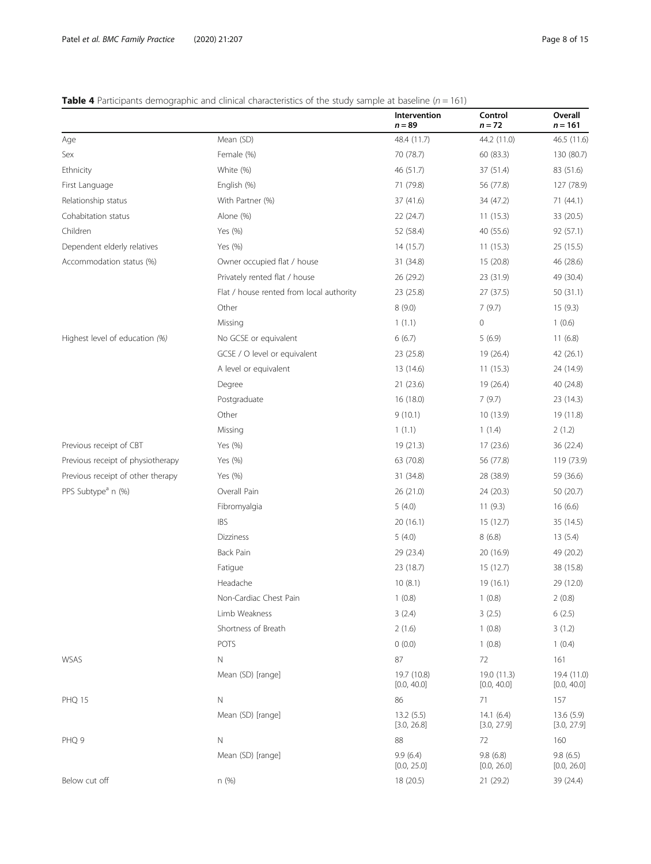## <span id="page-7-0"></span>**Table 4** Participants demographic and clinical characteristics of the study sample at baseline ( $n = 161$ )

|                                   |                                          | Intervention<br>$n = 89$   | Control<br>$n = 72$        | Overall<br>$n = 161$       |
|-----------------------------------|------------------------------------------|----------------------------|----------------------------|----------------------------|
| Age                               | Mean (SD)                                | 48.4 (11.7)                | 44.2 (11.0)                | 46.5 (11.6)                |
| Sex                               | Female (%)                               | 70 (78.7)                  | 60 (83.3)                  | 130 (80.7)                 |
| Ethnicity                         | White (%)                                | 46 (51.7)                  | 37 (51.4)                  | 83 (51.6)                  |
| First Language                    | English (%)                              | 71 (79.8)                  | 56 (77.8)                  | 127 (78.9)                 |
| Relationship status               | With Partner (%)                         | 37 (41.6)                  | 34 (47.2)                  | 71(44.1)                   |
| Cohabitation status               | Alone (%)                                | 22 (24.7)                  | 11(15.3)                   | 33 (20.5)                  |
| Children                          | Yes (%)                                  | 52 (58.4)                  | 40 (55.6)                  | 92 (57.1)                  |
| Dependent elderly relatives       | Yes (%)                                  | 14 (15.7)                  | 11(15.3)                   | 25(15.5)                   |
| Accommodation status (%)          | Owner occupied flat / house              | 31 (34.8)                  | 15 (20.8)                  | 46 (28.6)                  |
|                                   | Privately rented flat / house            | 26 (29.2)                  | 23 (31.9)                  | 49 (30.4)                  |
|                                   | Flat / house rented from local authority | 23 (25.8)                  | 27 (37.5)                  | 50(31.1)                   |
|                                   | Other                                    | 8(9.0)                     | 7(9.7)                     | 15(9.3)                    |
|                                   | Missing                                  | 1(1.1)                     | 0                          | 1(0.6)                     |
| Highest level of education (%)    | No GCSE or equivalent                    | 6(6.7)                     | 5(6.9)                     | 11(6.8)                    |
|                                   | GCSE / O level or equivalent             | 23 (25.8)                  | 19 (26.4)                  | 42 (26.1)                  |
|                                   | A level or equivalent                    | 13 (14.6)                  | 11(15.3)                   | 24 (14.9)                  |
|                                   | Degree                                   | 21(23.6)                   | 19 (26.4)                  | 40 (24.8)                  |
|                                   | Postgraduate                             | 16(18.0)                   | 7(9.7)                     | 23 (14.3)                  |
|                                   | Other                                    | 9(10.1)                    | 10(13.9)                   | 19 (11.8)                  |
|                                   | Missing                                  | 1(1.1)                     | 1(1.4)                     | 2(1.2)                     |
| Previous receipt of CBT           | Yes (%)                                  | 19(21.3)                   | 17(23.6)                   | 36 (22.4)                  |
| Previous receipt of physiotherapy | Yes (%)                                  | 63 (70.8)                  | 56 (77.8)                  | 119 (73.9)                 |
| Previous receipt of other therapy | Yes (%)                                  | 31 (34.8)                  | 28 (38.9)                  | 59 (36.6)                  |
| PPS Subtype <sup>a</sup> n (%)    | Overall Pain                             | 26 (21.0)                  | 24 (20.3)                  | 50 (20.7)                  |
|                                   | Fibromyalgia                             | 5(4.0)                     | 11(9.3)                    | 16(6.6)                    |
|                                   | <b>IBS</b>                               | 20 (16.1)                  | 15 (12.7)                  | 35 (14.5)                  |
|                                   | <b>Dizziness</b>                         | 5(4.0)                     | 8(6.8)                     | 13(5.4)                    |
|                                   | <b>Back Pain</b>                         | 29 (23.4)                  | 20 (16.9)                  | 49 (20.2)                  |
|                                   | Fatigue                                  | 23 (18.7)                  | 15(12.7)                   | 38 (15.8)                  |
|                                   | Headache                                 | 10(8.1)                    | 19 (16.1)                  | 29 (12.0)                  |
|                                   | Non-Cardiac Chest Pain                   | 1(0.8)                     | 1(0.8)                     | 2(0.8)                     |
|                                   | Limb Weakness                            | 3(2.4)                     | 3(2.5)                     | 6(2.5)                     |
|                                   | Shortness of Breath                      | 2(1.6)                     | 1(0.8)                     | 3(1.2)                     |
|                                   | POTS                                     | 0(0.0)                     | 1(0.8)                     | 1(0.4)                     |
| WSAS                              | Ν                                        | 87                         | 72                         | 161                        |
|                                   | Mean (SD) [range]                        | 19.7 (10.8)<br>[0.0, 40.0] | 19.0 (11.3)<br>[0.0, 40.0] | 19.4 (11.0)<br>[0.0, 40.0] |
| PHQ 15                            | $\mathbb N$                              | 86                         | 71                         | 157                        |
|                                   | Mean (SD) [range]                        | 13.2(5.5)<br>[3.0, 26.8]   | 14.1(6.4)<br>[3.0, 27.9]   | 13.6(5.9)<br>[3.0, 27.9]   |
| PHQ 9                             | N                                        | 88                         | 72                         | 160                        |
|                                   | Mean (SD) [range]                        | 9.9(6.4)<br>[0.0, 25.0]    | 9.8(6.8)<br>[0.0, 26.0]    | 9.8(6.5)<br>[0.0, 26.0]    |
| Below cut off                     | n (%)                                    | 18 (20.5)                  | 21 (29.2)                  | 39 (24.4)                  |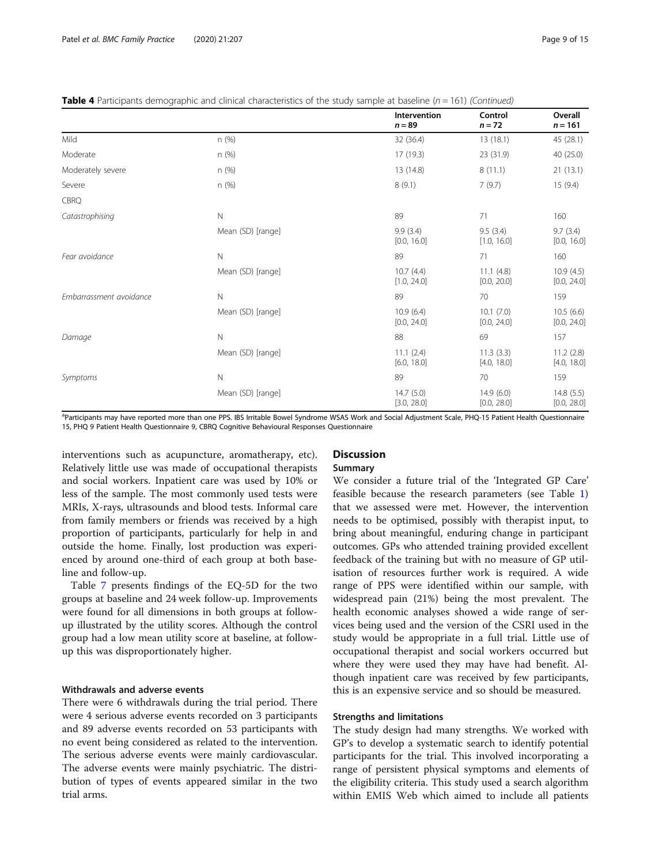|  |  |  |  | <b>Table 4</b> Participants demographic and clinical characteristics of the study sample at baseline ( $n = 161$ ) (Continued) |
|--|--|--|--|--------------------------------------------------------------------------------------------------------------------------------|
|  |  |  |  |                                                                                                                                |

|                         |                   | Intervention<br>$n = 89$ | Control<br>$n = 72$       | Overall<br>$n = 161$     |
|-------------------------|-------------------|--------------------------|---------------------------|--------------------------|
| Mild                    | n (%)             | 32 (36.4)                | 13(18.1)                  | 45 (28.1)                |
| Moderate                | n (%)             | 17 (19.3)                | 23 (31.9)                 | 40 (25.0)                |
| Moderately severe       | n (%)             | 13 (14.8)                | 8(11.1)                   | 21(13.1)                 |
| Severe                  | n(%)              | 8(9.1)                   | 7(9.7)                    | 15(9.4)                  |
| CBRQ                    |                   |                          |                           |                          |
| Catastrophising         | N                 | 89                       | 71                        | 160                      |
|                         | Mean (SD) [range] | 9.9(3.4)<br>[0.0, 16.0]  | 9.5(3.4)<br>[1.0, 16.0]   | 9.7(3.4)<br>[0.0, 16.0]  |
| Fear avoidance          | $\mathsf{N}$      | 89                       | 71                        | 160                      |
|                         | Mean (SD) [range] | 10.7(4.4)<br>[1.0, 24.0] | 11.1(4.8)<br>[0.0, 20.0]  | 10.9(4.5)<br>[0.0, 24.0] |
| Embarrassment avoidance | N                 | 89                       | 70                        | 159                      |
|                         | Mean (SD) [range] | 10.9(6.4)<br>[0.0, 24.0] | 10.1(7.0)<br>[0.0, 24.0]  | 10.5(6.6)<br>[0.0, 24.0] |
| Damage                  | $\mathsf{N}$      | 88                       | 69                        | 157                      |
|                         | Mean (SD) [range] | 11.1(2.4)<br>[6.0, 18.0] | 11.3(3.3)<br>[4.0, 18.0]  | 11.2(2.8)<br>[4.0, 18.0] |
| Symptoms                | $\mathsf{N}$      | 89                       | 70                        | 159                      |
|                         | Mean (SD) [range] | 14.7(5.0)<br>[3.0, 28.0] | 14.9 (6.0)<br>[0.0, 28.0] | 14.8(5.5)<br>[0.0, 28.0] |

<sup>a</sup>Participants may have reported more than one PPS. IBS Irritable Bowel Syndrome WSAS Work and Social Adjustment Scale, PHQ-15 Patient Health Questionnaire 15, PHQ 9 Patient Health Questionnaire 9, CBRQ Cognitive Behavioural Responses Questionnaire

interventions such as acupuncture, aromatherapy, etc). Relatively little use was made of occupational therapists and social workers. Inpatient care was used by 10% or less of the sample. The most commonly used tests were MRIs, X-rays, ultrasounds and blood tests. Informal care from family members or friends was received by a high proportion of participants, particularly for help in and outside the home. Finally, lost production was experienced by around one-third of each group at both baseline and follow-up.

Table [7](#page-11-0) presents findings of the EQ-5D for the two groups at baseline and 24 week follow-up. Improvements were found for all dimensions in both groups at followup illustrated by the utility scores. Although the control group had a low mean utility score at baseline, at followup this was disproportionately higher.

## Withdrawals and adverse events

There were 6 withdrawals during the trial period. There were 4 serious adverse events recorded on 3 participants and 89 adverse events recorded on 53 participants with no event being considered as related to the intervention. The serious adverse events were mainly cardiovascular. The adverse events were mainly psychiatric. The distribution of types of events appeared similar in the two trial arms.

## **Discussion**

## Summary

We consider a future trial of the 'Integrated GP Care' feasible because the research parameters (see Table [1](#page-2-0)) that we assessed were met. However, the intervention needs to be optimised, possibly with therapist input, to bring about meaningful, enduring change in participant outcomes. GPs who attended training provided excellent feedback of the training but with no measure of GP utilisation of resources further work is required. A wide range of PPS were identified within our sample, with widespread pain (21%) being the most prevalent. The health economic analyses showed a wide range of services being used and the version of the CSRI used in the study would be appropriate in a full trial. Little use of occupational therapist and social workers occurred but where they were used they may have had benefit. Although inpatient care was received by few participants, this is an expensive service and so should be measured.

## Strengths and limitations

The study design had many strengths. We worked with GP's to develop a systematic search to identify potential participants for the trial. This involved incorporating a range of persistent physical symptoms and elements of the eligibility criteria. This study used a search algorithm within EMIS Web which aimed to include all patients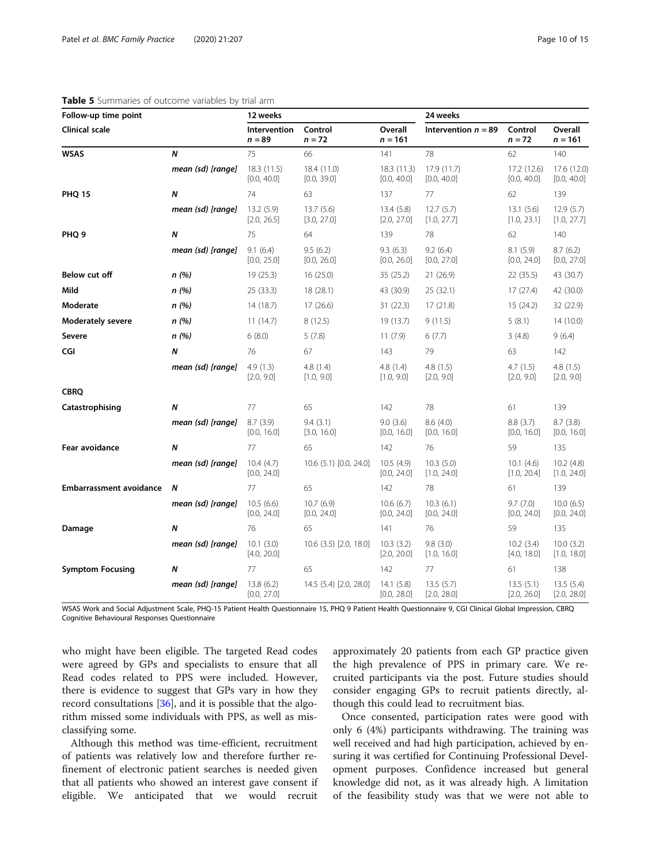## <span id="page-9-0"></span>Table 5 Summaries of outcome variables by trial arm

| Follow-up time point           |                   | 12 weeks                  |                            |                            | 24 weeks                   |                            |                            |
|--------------------------------|-------------------|---------------------------|----------------------------|----------------------------|----------------------------|----------------------------|----------------------------|
| <b>Clinical scale</b>          |                   | Intervention<br>$n = 89$  | Control<br>$n = 72$        | Overall<br>$n = 161$       | Intervention $n = 89$      | Control<br>$n = 72$        | Overall<br>$n = 161$       |
| <b>WSAS</b>                    | N                 | 75                        | 66                         | 141                        | 78                         | 62                         | 140                        |
|                                | mean (sd) [range] | 18.3(11.5)<br>[0.0, 40.0] | 18.4 (11.0)<br>[0.0, 39.0] | 18.3 (11.3)<br>[0.0, 40.0] | 17.9 (11.7)<br>[0.0, 40.0] | 17.2 (12.6)<br>[0.0, 40.0] | 17.6 (12.0)<br>[0.0, 40.0] |
| <b>PHQ 15</b>                  | Ν                 | 74                        | 63                         | 137                        | 77                         | 62                         | 139                        |
|                                | mean (sd) [range] | 13.2 (5.9)<br>[2.0, 26.5] | 13.7(5.6)<br>[3.0, 27.0]   | 13.4(5.8)<br>[2.0, 27.0]   | 12.7(5.7)<br>[1.0, 27.7]   | 13.1(5.6)<br>[1.0, 23.1]   | 12.9(5.7)<br>[1.0, 27.7]   |
| PHQ <sub>9</sub>               | Ν                 | 75                        | 64                         | 139                        | 78                         | 62                         | 140                        |
|                                | mean (sd) [range] | 9.1(6.4)<br>[0.0, 25.0]   | 9.5(6.2)<br>[0.0, 26.0]    | 9.3(6.3)<br>[0.0, 26.0]    | 9.2(6.4)<br>[0.0, 27.0]    | 8.1(5.9)<br>[0.0, 24.0]    | 8.7(6.2)<br>[0.0, 27.0]    |
| Below cut off                  | n(%)              | 19 (25.3)                 | 16(25.0)                   | 35 (25.2)                  | 21 (26.9)                  | 22(35.5)                   | 43 (30.7)                  |
| Mild                           | n(%)              | 25 (33.3)                 | 18 (28.1)                  | 43 (30.9)                  | 25 (32.1)                  | 17(27.4)                   | 42 (30.0)                  |
| Moderate                       | n(%)              | 14 (18.7)                 | 17 (26.6)                  | 31 (22.3)                  | 17(21.8)                   | 15(24.2)                   | 32 (22.9)                  |
| <b>Moderately severe</b>       | n(%)              | 11(14.7)                  | 8(12.5)                    | 19 (13.7)                  | 9(11.5)                    | 5(8.1)                     | 14 (10.0)                  |
| Severe                         | n(%)              | 6(8.0)                    | 5(7.8)                     | 11(7.9)                    | 6(7.7)                     | 3(4.8)                     | 9(6.4)                     |
| CGI                            | N                 | 76                        | 67                         | 143                        | 79                         | 63                         | 142                        |
|                                | mean (sd) [range] | 4.9(1.3)<br>[2.0, 9.0]    | 4.8(1.4)<br>[1.0, 9.0]     | 4.8 (1.4)<br>[1.0, 9.0]    | 4.8(1.5)<br>[2.0, 9.0]     | 4.7(1.5)<br>[2.0, 9.0]     | 4.8(1.5)<br>[2.0, 9.0]     |
| <b>CBRQ</b>                    |                   |                           |                            |                            |                            |                            |                            |
| Catastrophising                | N                 | 77                        | 65                         | 142                        | 78                         | 61                         | 139                        |
|                                | mean (sd) [range] | 8.7(3.9)<br>[0.0, 16.0]   | 9.4(3.1)<br>[3.0, 16.0]    | 9.0(3.6)<br>[0.0, 16.0]    | 8.6(4.0)<br>[0.0, 16.0]    | 8.8(3.7)<br>[0.0, 16.0]    | 8.7(3.8)<br>[0.0, 16.0]    |
| Fear avoidance                 | Ν                 | 77                        | 65                         | 142                        | 76                         | 59                         | 135                        |
|                                | mean (sd) [range] | 10.4(4.7)<br>[0.0, 24.0]  | 10.6 (5.1) [0.0, 24.0]     | 10.5(4.9)<br>[0.0, 24.0]   | 10.3(5.0)<br>[1.0, 24.0]   | 10.1(4.6)<br>[1.0, 20.4]   | 10.2(4.8)<br>[1.0, 24.0]   |
| <b>Embarrassment avoidance</b> | N                 | 77                        | 65                         | 142                        | 78                         | 61                         | 139                        |
|                                | mean (sd) [range] | 10.5(6.6)<br>[0.0, 24.0]  | 10.7(6.9)<br>[0.0, 24.0]   | 10.6(6.7)<br>[0.0, 24.0]   | 10.3(6.1)<br>[0.0, 24.0]   | 9.7(7.0)<br>[0.0, 24.0]    | 10.0(6.5)<br>[0.0, 24.0]   |
| Damage                         | N                 | 76                        | 65                         | 141                        | 76                         | 59                         | 135                        |
|                                | mean (sd) [range] | 10.1(3.0)<br>[4.0, 20.0]  | 10.6 (3.5) [2.0, 18.0]     | 10.3(3.2)<br>[2.0, 20.0]   | 9.8(3.0)<br>[1.0, 16.0]    | 10.2(3.4)<br>[4.0, 18.0]   | 10.0(3.2)<br>[1.0, 18.0]   |
| <b>Symptom Focusing</b>        | N                 | 77                        | 65                         | 142                        | 77                         | 61                         | 138                        |
|                                | mean (sd) [range] | 13.8(6.2)<br>[0.0, 27.0]  | 14.5 (5.4) [2.0, 28.0]     | 14.1(5.8)<br>[0.0, 28.0]   | 13.5(5.7)<br>[2.0, 28.0]   | 13.5(5.1)<br>[2.0, 26.0]   | 13.5(5.4)<br>[2.0, 28.0]   |

WSAS Work and Social Adjustment Scale, PHQ-15 Patient Health Questionnaire 15, PHQ 9 Patient Health Questionnaire 9, CGI Clinical Global Impression, CBRQ Cognitive Behavioural Responses Questionnaire

who might have been eligible. The targeted Read codes were agreed by GPs and specialists to ensure that all Read codes related to PPS were included. However, there is evidence to suggest that GPs vary in how they record consultations [\[36](#page-13-0)], and it is possible that the algorithm missed some individuals with PPS, as well as misclassifying some.

Although this method was time-efficient, recruitment of patients was relatively low and therefore further refinement of electronic patient searches is needed given that all patients who showed an interest gave consent if eligible. We anticipated that we would recruit approximately 20 patients from each GP practice given the high prevalence of PPS in primary care. We recruited participants via the post. Future studies should consider engaging GPs to recruit patients directly, although this could lead to recruitment bias.

Once consented, participation rates were good with only 6 (4%) participants withdrawing. The training was well received and had high participation, achieved by ensuring it was certified for Continuing Professional Development purposes. Confidence increased but general knowledge did not, as it was already high. A limitation of the feasibility study was that we were not able to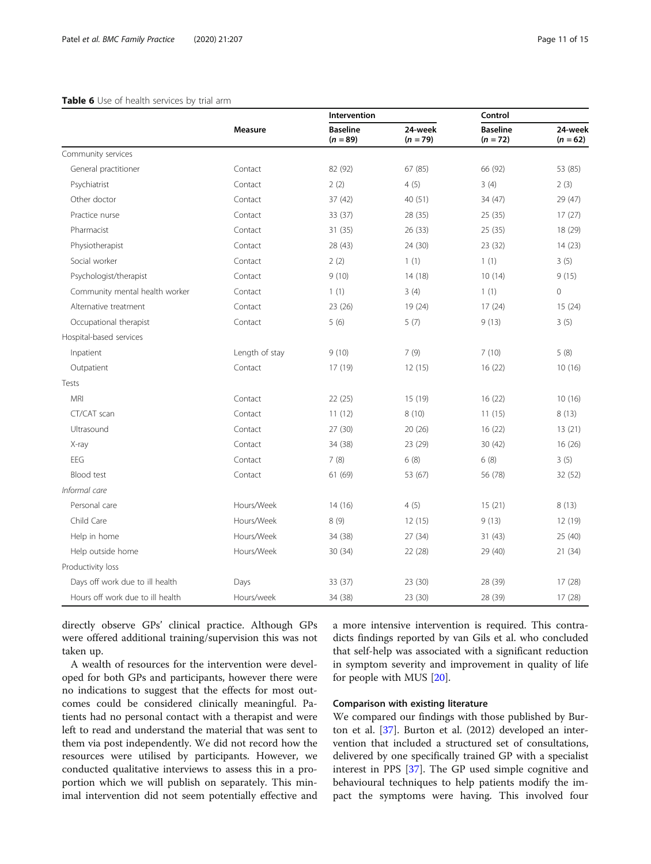#### <span id="page-10-0"></span>Table 6 Use of health services by trial arm

|                                  |                | Intervention                  |                       | Control                       |                       |
|----------------------------------|----------------|-------------------------------|-----------------------|-------------------------------|-----------------------|
|                                  | <b>Measure</b> | <b>Baseline</b><br>$(n = 89)$ | 24-week<br>$(n = 79)$ | <b>Baseline</b><br>$(n = 72)$ | 24-week<br>$(n = 62)$ |
| Community services               |                |                               |                       |                               |                       |
| General practitioner             | Contact        | 82 (92)                       | 67(85)                | 66 (92)                       | 53 (85)               |
| Psychiatrist                     | Contact        | 2(2)                          | 4(5)                  | 3(4)                          | 2(3)                  |
| Other doctor                     | Contact        | 37(42)                        | 40 (51)               | 34 (47)                       | 29 (47)               |
| Practice nurse                   | Contact        | 33(37)                        | 28 (35)               | 25 (35)                       | 17(27)                |
| Pharmacist                       | Contact        | 31(35)                        | 26 (33)               | 25(35)                        | 18 (29)               |
| Physiotherapist                  | Contact        | 28 (43)                       | 24 (30)               | 23 (32)                       | 14(23)                |
| Social worker                    | Contact        | 2(2)                          | 1(1)                  | 1(1)                          | 3(5)                  |
| Psychologist/therapist           | Contact        | 9(10)                         | 14 (18)               | 10(14)                        | 9(15)                 |
| Community mental health worker   | Contact        | 1(1)                          | 3(4)                  | 1(1)                          | $\mathsf{O}\xspace$   |
| Alternative treatment            | Contact        | 23 (26)                       | 19 (24)               | 17(24)                        | 15(24)                |
| Occupational therapist           | Contact        | 5(6)                          | 5(7)                  | 9(13)                         | 3(5)                  |
| Hospital-based services          |                |                               |                       |                               |                       |
| Inpatient                        | Length of stay | 9(10)                         | 7(9)                  | 7(10)                         | 5(8)                  |
| Outpatient                       | Contact        | 17 (19)                       | 12(15)                | 16(22)                        | 10(16)                |
| Tests                            |                |                               |                       |                               |                       |
| <b>MRI</b>                       | Contact        | 22 (25)                       | 15 (19)               | 16(22)                        | 10(16)                |
| CT/CAT scan                      | Contact        | 11(12)                        | 8(10)                 | 11(15)                        | 8(13)                 |
| Ultrasound                       | Contact        | 27(30)                        | 20(26)                | 16(22)                        | 13(21)                |
| X-ray                            | Contact        | 34 (38)                       | 23 (29)               | 30(42)                        | 16(26)                |
| EEG                              | Contact        | 7(8)                          | 6(8)                  | 6(8)                          | 3(5)                  |
| Blood test                       | Contact        | 61 (69)                       | 53 (67)               | 56 (78)                       | 32 (52)               |
| Informal care                    |                |                               |                       |                               |                       |
| Personal care                    | Hours/Week     | 14 (16)                       | 4(5)                  | 15(21)                        | 8(13)                 |
| Child Care                       | Hours/Week     | 8(9)                          | 12(15)                | 9(13)                         | 12 (19)               |
| Help in home                     | Hours/Week     | 34 (38)                       | 27 (34)               | 31 (43)                       | 25 (40)               |
| Help outside home                | Hours/Week     | 30 (34)                       | 22 (28)               | 29 (40)                       | 21(34)                |
| Productivity loss                |                |                               |                       |                               |                       |
| Days off work due to ill health  | Days           | 33 (37)                       | 23 (30)               | 28 (39)                       | 17(28)                |
| Hours off work due to ill health | Hours/week     | 34 (38)                       | 23 (30)               | 28 (39)                       | 17(28)                |

directly observe GPs' clinical practice. Although GPs were offered additional training/supervision this was not taken up.

A wealth of resources for the intervention were developed for both GPs and participants, however there were no indications to suggest that the effects for most outcomes could be considered clinically meaningful. Patients had no personal contact with a therapist and were left to read and understand the material that was sent to them via post independently. We did not record how the resources were utilised by participants. However, we conducted qualitative interviews to assess this in a proportion which we will publish on separately. This minimal intervention did not seem potentially effective and a more intensive intervention is required. This contradicts findings reported by van Gils et al. who concluded that self-help was associated with a significant reduction in symptom severity and improvement in quality of life for people with MUS [\[20](#page-13-0)].

## Comparison with existing literature

We compared our findings with those published by Burton et al. [\[37](#page-14-0)]. Burton et al. (2012) developed an intervention that included a structured set of consultations, delivered by one specifically trained GP with a specialist interest in PPS [\[37\]](#page-14-0). The GP used simple cognitive and behavioural techniques to help patients modify the impact the symptoms were having. This involved four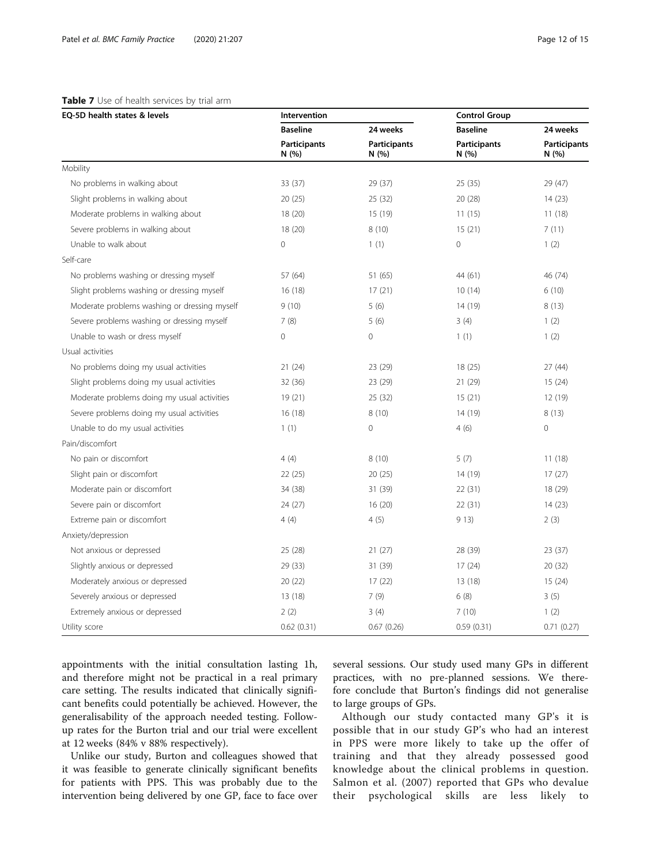## <span id="page-11-0"></span>Table 7 Use of health services by trial arm

| EQ-5D health states & levels                 | Intervention                 |                              | <b>Control Group</b>         |                             |
|----------------------------------------------|------------------------------|------------------------------|------------------------------|-----------------------------|
|                                              | <b>Baseline</b>              | 24 weeks                     | <b>Baseline</b>              | 24 weeks                    |
|                                              | <b>Participants</b><br>N (%) | <b>Participants</b><br>N (%) | <b>Participants</b><br>N (%) | <b>Participants</b><br>N(%) |
| Mobility                                     |                              |                              |                              |                             |
| No problems in walking about                 | 33 (37)                      | 29 (37)                      | 25(35)                       | 29 (47)                     |
| Slight problems in walking about             | 20(25)                       | 25 (32)                      | 20 (28)                      | 14(23)                      |
| Moderate problems in walking about           | 18 (20)                      | 15 (19)                      | 11(15)                       | 11(18)                      |
| Severe problems in walking about             | 18 (20)                      | 8(10)                        | 15(21)                       | 7(11)                       |
| Unable to walk about                         | $\overline{0}$               | 1(1)                         | $\mathbf 0$                  | 1(2)                        |
| Self-care                                    |                              |                              |                              |                             |
| No problems washing or dressing myself       | 57 (64)                      | 51 (65)                      | 44 (61)                      | 46 (74)                     |
| Slight problems washing or dressing myself   | 16(18)                       | 17(21)                       | 10(14)                       | 6(10)                       |
| Moderate problems washing or dressing myself | 9(10)                        | 5(6)                         | 14 (19)                      | 8(13)                       |
| Severe problems washing or dressing myself   | 7(8)                         | 5(6)                         | 3(4)                         | 1(2)                        |
| Unable to wash or dress myself               | $\overline{0}$               | $\mathbf{0}$                 | 1(1)                         | 1(2)                        |
| Usual activities                             |                              |                              |                              |                             |
| No problems doing my usual activities        | 21(24)                       | 23 (29)                      | 18(25)                       | 27 (44)                     |
| Slight problems doing my usual activities    | 32 (36)                      | 23 (29)                      | 21 (29)                      | 15(24)                      |
| Moderate problems doing my usual activities  | 19(21)                       | 25(32)                       | 15(21)                       | 12 (19)                     |
| Severe problems doing my usual activities    | 16(18)                       | 8(10)                        | 14 (19)                      | 8(13)                       |
| Unable to do my usual activities             | 1(1)                         | $\mathbf{0}$                 | 4(6)                         | $\overline{0}$              |
| Pain/discomfort                              |                              |                              |                              |                             |
| No pain or discomfort                        | 4(4)                         | 8(10)                        | 5(7)                         | 11(18)                      |
| Slight pain or discomfort                    | 22(25)                       | 20 (25)                      | 14 (19)                      | 17(27)                      |
| Moderate pain or discomfort                  | 34 (38)                      | 31 (39)                      | 22(31)                       | 18 (29)                     |
| Severe pain or discomfort                    | 24(27)                       | 16(20)                       | 22 (31)                      | 14(23)                      |
| Extreme pain or discomfort                   | 4(4)                         | 4(5)                         | 913)                         | 2(3)                        |
| Anxiety/depression                           |                              |                              |                              |                             |
| Not anxious or depressed                     | 25 (28)                      | 21(27)                       | 28 (39)                      | 23(37)                      |
| Slightly anxious or depressed                | 29 (33)                      | 31 (39)                      | 17(24)                       | 20 (32)                     |
| Moderately anxious or depressed              | 20 (22)                      | 17(22)                       | 13 (18)                      | 15(24)                      |
| Severely anxious or depressed                | 13 (18)                      | 7(9)                         | 6(8)                         | 3(5)                        |
| Extremely anxious or depressed               | 2(2)                         | 3(4)                         | 7(10)                        | 1(2)                        |
| Utility score                                | 0.62(0.31)                   | 0.67(0.26)                   | 0.59(0.31)                   | 0.71(0.27)                  |

appointments with the initial consultation lasting 1h, and therefore might not be practical in a real primary care setting. The results indicated that clinically significant benefits could potentially be achieved. However, the generalisability of the approach needed testing. Followup rates for the Burton trial and our trial were excellent at 12 weeks (84% v 88% respectively).

Unlike our study, Burton and colleagues showed that it was feasible to generate clinically significant benefits for patients with PPS. This was probably due to the intervention being delivered by one GP, face to face over several sessions. Our study used many GPs in different practices, with no pre-planned sessions. We therefore conclude that Burton's findings did not generalise to large groups of GPs.

Although our study contacted many GP's it is possible that in our study GP's who had an interest in PPS were more likely to take up the offer of training and that they already possessed good knowledge about the clinical problems in question. Salmon et al. (2007) reported that GPs who devalue their psychological skills are less likely to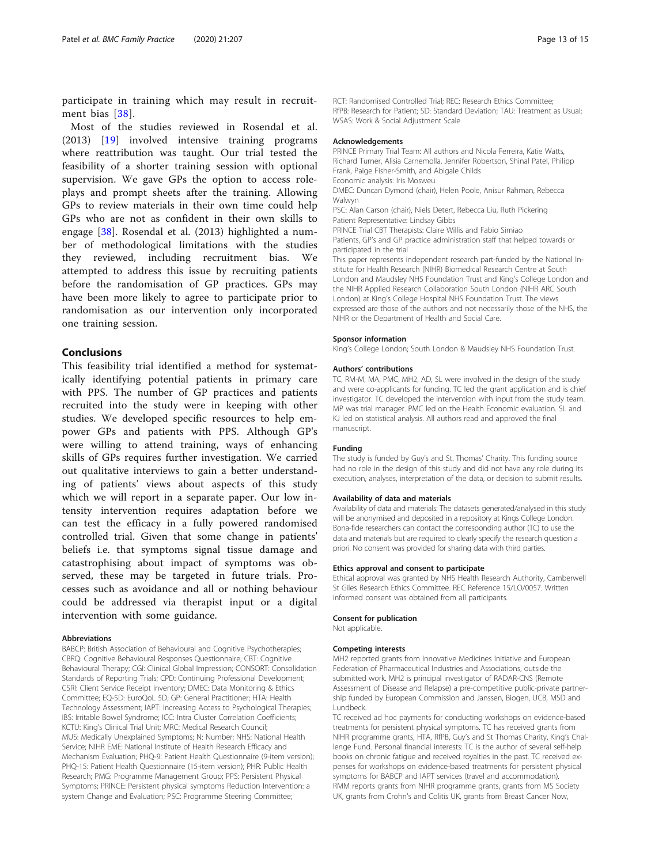participate in training which may result in recruitment bias [\[38\]](#page-14-0).

Most of the studies reviewed in Rosendal et al. (2013) [[19\]](#page-13-0) involved intensive training programs where reattribution was taught. Our trial tested the feasibility of a shorter training session with optional supervision. We gave GPs the option to access roleplays and prompt sheets after the training. Allowing GPs to review materials in their own time could help GPs who are not as confident in their own skills to engage [\[38](#page-14-0)]. Rosendal et al. (2013) highlighted a number of methodological limitations with the studies they reviewed, including recruitment bias. We attempted to address this issue by recruiting patients before the randomisation of GP practices. GPs may have been more likely to agree to participate prior to randomisation as our intervention only incorporated one training session.

## Conclusions

This feasibility trial identified a method for systematically identifying potential patients in primary care with PPS. The number of GP practices and patients recruited into the study were in keeping with other studies. We developed specific resources to help empower GPs and patients with PPS. Although GP's were willing to attend training, ways of enhancing skills of GPs requires further investigation. We carried out qualitative interviews to gain a better understanding of patients' views about aspects of this study which we will report in a separate paper. Our low intensity intervention requires adaptation before we can test the efficacy in a fully powered randomised controlled trial. Given that some change in patients' beliefs i.e. that symptoms signal tissue damage and catastrophising about impact of symptoms was observed, these may be targeted in future trials. Processes such as avoidance and all or nothing behaviour could be addressed via therapist input or a digital intervention with some guidance.

#### Abbreviations

BABCP: British Association of Behavioural and Cognitive Psychotherapies; CBRQ: Cognitive Behavioural Responses Questionnaire; CBT: Cognitive Behavioural Therapy; CGI: Clinical Global Impression; CONSORT: Consolidation Standards of Reporting Trials; CPD: Continuing Professional Development; CSRI: Client Service Receipt Inventory; DMEC: Data Monitoring & Ethics Committee; EQ-5D: EuroQoL 5D; GP: General Practitioner; HTA: Health Technology Assessment; IAPT: Increasing Access to Psychological Therapies; IBS: Irritable Bowel Syndrome; ICC: Intra Cluster Correlation Coefficients; KCTU: King's Clinical Trial Unit; MRC: Medical Research Council; MUS: Medically Unexplained Symptoms; N: Number; NHS: National Health Service; NIHR EME: National Institute of Health Research Efficacy and Mechanism Evaluation; PHQ-9: Patient Health Questionnaire (9-item version); PHQ-15: Patient Health Questionnaire (15-item version); PHR: Public Health Research; PMG: Programme Management Group; PPS: Persistent Physical Symptoms; PRINCE: Persistent physical symptoms Reduction Intervention: a system Change and Evaluation; PSC: Programme Steering Committee;

RCT: Randomised Controlled Trial; REC: Research Ethics Committee; RfPB: Research for Patient; SD: Standard Deviation; TAU: Treatment as Usual; WSAS: Work & Social Adjustment Scale

#### Acknowledgements

PRINCE Primary Trial Team: All authors and Nicola Ferreira, Katie Watts, Richard Turner, Alisia Carnemolla, Jennifer Robertson, Shinal Patel, Philipp Frank, Paige Fisher-Smith, and Abigale Childs Economic analysis: Iris Mosweu DMEC: Duncan Dymond (chair), Helen Poole, Anisur Rahman, Rebecca Walwyn PSC: Alan Carson (chair), Niels Detert, Rebecca Liu, Ruth Pickering Patient Representative: Lindsay Gibbs PRINCE Trial CBT Therapists: Claire Willis and Fabio Simiao Patients, GP's and GP practice administration staff that helped towards or participated in the trial This paper represents independent research part-funded by the National Institute for Health Research (NIHR) Biomedical Research Centre at South London and Maudsley NHS Foundation Trust and King's College London and the NIHR Applied Research Collaboration South London (NIHR ARC South

London) at King's College Hospital NHS Foundation Trust. The views expressed are those of the authors and not necessarily those of the NHS, the NIHR or the Department of Health and Social Care.

#### Sponsor information

King's College London; South London & Maudsley NHS Foundation Trust.

#### Authors' contributions

TC, RM-M, MA, PMC, MH2, AD, SL were involved in the design of the study and were co-applicants for funding. TC led the grant application and is chief investigator. TC developed the intervention with input from the study team. MP was trial manager. PMC led on the Health Economic evaluation. SL and KJ led on statistical analysis. All authors read and approved the final manuscript.

#### Funding

The study is funded by Guy's and St. Thomas' Charity. This funding source had no role in the design of this study and did not have any role during its execution, analyses, interpretation of the data, or decision to submit results.

#### Availability of data and materials

Availability of data and materials: The datasets generated/analysed in this study will be anonymised and deposited in a repository at Kings College London. Bona-fide researchers can contact the corresponding author (TC) to use the data and materials but are required to clearly specify the research question a priori. No consent was provided for sharing data with third parties.

#### Ethics approval and consent to participate

Ethical approval was granted by NHS Health Research Authority, Camberwell St Giles Research Ethics Committee. REC Reference 15/LO/0057. Written informed consent was obtained from all participants.

#### Consent for publication

Not applicable.

#### Competing interests

MH2 reported grants from Innovative Medicines Initiative and European Federation of Pharmaceutical Industries and Associations, outside the submitted work. MH2 is principal investigator of RADAR-CNS (Remote Assessment of Disease and Relapse) a pre-competitive public-private partnership funded by European Commission and Janssen, Biogen, UCB, MSD and Lundbeck.

TC received ad hoc payments for conducting workshops on evidence-based treatments for persistent physical symptoms. TC has received grants from NIHR programme grants, HTA, RfPB, Guy's and St Thomas Charity, King's Challenge Fund. Personal financial interests: TC is the author of several self-help books on chronic fatigue and received royalties in the past. TC received expenses for workshops on evidence-based treatments for persistent physical symptoms for BABCP and IAPT services (travel and accommodation). RMM reports grants from NIHR programme grants, grants from MS Society UK, grants from Crohn's and Colitis UK, grants from Breast Cancer Now,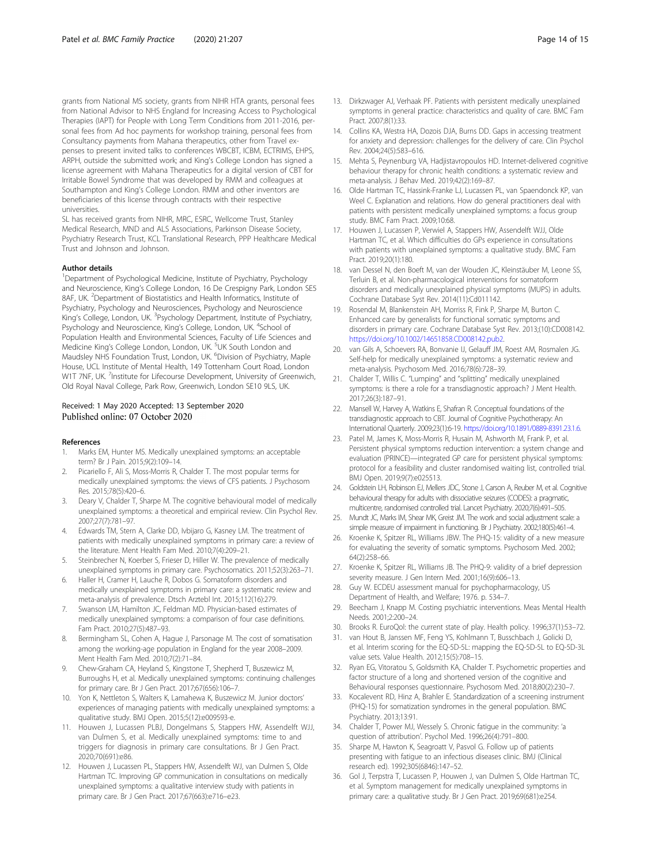<span id="page-13-0"></span>grants from National MS society, grants from NIHR HTA grants, personal fees from National Advisor to NHS England for Increasing Access to Psychological Therapies (IAPT) for People with Long Term Conditions from 2011-2016, personal fees from Ad hoc payments for workshop training, personal fees from Consultancy payments from Mahana therapeutics, other from Travel expenses to present invited talks to conferences WBCBT, ICBM, ECTRIMS, EHPS, ARPH, outside the submitted work; and King's College London has signed a license agreement with Mahana Therapeutics for a digital version of CBT for Irritable Bowel Syndrome that was developed by RMM and colleagues at Southampton and King's College London. RMM and other inventors are beneficiaries of this license through contracts with their respective universities.

SL has received grants from NIHR, MRC, ESRC, Wellcome Trust, Stanley Medical Research, MND and ALS Associations, Parkinson Disease Society, Psychiatry Research Trust, KCL Translational Research, PPP Healthcare Medical Trust and Johnson and Johnson.

#### Author details

<sup>1</sup>Department of Psychological Medicine, Institute of Psychiatry, Psychology and Neuroscience, King's College London, 16 De Crespigny Park, London SE5 8AF, UK. <sup>2</sup>Department of Biostatistics and Health Informatics, Institute of Psychiatry, Psychology and Neurosciences, Psychology and Neuroscience King's College, London, UK. <sup>3</sup>Psychology Department, Institute of Psychiatry, Psychology and Neuroscience, King's College, London, UK. <sup>4</sup>School of Population Health and Environmental Sciences, Faculty of Life Sciences and Medicine King's College London, London, UK. <sup>5</sup>UK South London and Maudsley NHS Foundation Trust, London, UK. <sup>6</sup>Division of Psychiatry, Maple House, UCL Institute of Mental Health, 149 Tottenham Court Road, London W1T 7NF, UK. <sup>7</sup>Institute for Lifecourse Development, University of Greenwich, Old Royal Naval College, Park Row, Greenwich, London SE10 9LS, UK.

#### Received: 1 May 2020 Accepted: 13 September 2020 Published online: 07 October 2020

#### References

- 1. Marks EM, Hunter MS. Medically unexplained symptoms: an acceptable term? Br J Pain. 2015;9(2):109–14.
- Picariello F, Ali S, Moss-Morris R, Chalder T. The most popular terms for medically unexplained symptoms: the views of CFS patients. J Psychosom Res. 2015;78(5):420–6.
- Deary V, Chalder T, Sharpe M. The cognitive behavioural model of medically unexplained symptoms: a theoretical and empirical review. Clin Psychol Rev. 2007;27(7):781–97.
- 4. Edwards TM, Stern A, Clarke DD, Ivbijaro G, Kasney LM. The treatment of patients with medically unexplained symptoms in primary care: a review of the literature. Ment Health Fam Med. 2010;7(4):209–21.
- 5. Steinbrecher N, Koerber S, Frieser D, Hiller W. The prevalence of medically unexplained symptoms in primary care. Psychosomatics. 2011;52(3):263–71.
- 6. Haller H, Cramer H, Lauche R, Dobos G. Somatoform disorders and medically unexplained symptoms in primary care: a systematic review and meta-analysis of prevalence. Dtsch Arztebl Int. 2015;112(16):279.
- 7. Swanson LM, Hamilton JC, Feldman MD. Physician-based estimates of medically unexplained symptoms: a comparison of four case definitions. Fam Pract. 2010;27(5):487–93.
- 8. Bermingham SL, Cohen A, Hague J, Parsonage M. The cost of somatisation among the working-age population in England for the year 2008–2009. Ment Health Fam Med. 2010;7(2):71–84.
- 9. Chew-Graham CA, Heyland S, Kingstone T, Shepherd T, Buszewicz M, Burroughs H, et al. Medically unexplained symptoms: continuing challenges for primary care. Br J Gen Pract. 2017;67(656):106–7.
- 10. Yon K, Nettleton S, Walters K, Lamahewa K, Buszewicz M. Junior doctors' experiences of managing patients with medically unexplained symptoms: a qualitative study. BMJ Open. 2015;5(12):e009593-e.
- 11. Houwen J, Lucassen PLBJ, Dongelmans S, Stappers HW, Assendelft WJJ, van Dulmen S, et al. Medically unexplained symptoms: time to and triggers for diagnosis in primary care consultations. Br J Gen Pract. 2020;70(691):e86.
- 12. Houwen J, Lucassen PL, Stappers HW, Assendelft WJ, van Dulmen S, Olde Hartman TC. Improving GP communication in consultations on medically unexplained symptoms: a qualitative interview study with patients in primary care. Br J Gen Pract. 2017;67(663):e716–e23.
- 13. Dirkzwager AJ, Verhaak PF. Patients with persistent medically unexplained symptoms in general practice: characteristics and quality of care. BMC Fam Pract. 2007;8(1):33.
- 14. Collins KA, Westra HA, Dozois DJA, Burns DD. Gaps in accessing treatment for anxiety and depression: challenges for the delivery of care. Clin Psychol Rev. 2004;24(5):583–616.
- 15. Mehta S, Peynenburg VA, Hadjistavropoulos HD. Internet-delivered cognitive behaviour therapy for chronic health conditions: a systematic review and meta-analysis. J Behav Med. 2019;42(2):169–87.
- 16. Olde Hartman TC, Hassink-Franke LJ, Lucassen PL, van Spaendonck KP, van Weel C. Explanation and relations. How do general practitioners deal with patients with persistent medically unexplained symptoms: a focus group study. BMC Fam Pract. 2009;10:68.
- 17. Houwen J, Lucassen P, Verwiel A, Stappers HW, Assendelft WJJ, Olde Hartman TC, et al. Which difficulties do GPs experience in consultations with patients with unexplained symptoms: a qualitative study. BMC Fam Pract. 2019;20(1):180.
- 18. van Dessel N, den Boeft M, van der Wouden JC, Kleinstäuber M, Leone SS, Terluin B, et al. Non-pharmacological interventions for somatoform disorders and medically unexplained physical symptoms (MUPS) in adults. Cochrane Database Syst Rev. 2014(11):Cd011142.
- 19. Rosendal M, Blankenstein AH, Morriss R, Fink P, Sharpe M, Burton C. Enhanced care by generalists for functional somatic symptoms and disorders in primary care. Cochrane Database Syst Rev. 2013;(10):CD008142. [https://doi.org/10.1002/14651858.CD008142.pub2.](https://doi.org/10.1002/14651858.CD008142.pub2)
- 20. van Gils A, Schoevers RA, Bonvanie IJ, Gelauff JM, Roest AM, Rosmalen JG. Self-help for medically unexplained symptoms: a systematic review and meta-analysis. Psychosom Med. 2016;78(6):728–39.
- 21. Chalder T, Willis C. "Lumping" and "splitting" medically unexplained symptoms: is there a role for a transdiagnostic approach? J Ment Health. 2017;26(3):187–91.
- 22. Mansell W, Harvey A, Watkins E, Shafran R. Conceptual foundations of the transdiagnostic approach to CBT. Journal of Cognitive Psychotherapy: An International Quarterly. 2009;23(1):6-19. [https://doi.org/10.1891/0889-8391.23.1.6.](https://doi.org/10.1891/0889-8391.23.1.6)
- 23. Patel M, James K, Moss-Morris R, Husain M, Ashworth M, Frank P, et al. Persistent physical symptoms reduction intervention: a system change and evaluation (PRINCE)—integrated GP care for persistent physical symptoms: protocol for a feasibility and cluster randomised waiting list, controlled trial. BMJ Open. 2019;9(7):e025513.
- 24. Goldstein LH, Robinson EJ, Mellers JDC, Stone J, Carson A, Reuber M, et al. Cognitive behavioural therapy for adults with dissociative seizures (CODES): a pragmatic, multicentre, randomised controlled trial. Lancet Psychiatry. 2020;7(6):491–505.
- 25. Mundt JC, Marks IM, Shear MK, Greist JM. The work and social adjustment scale: a simple measure of impairment in functioning. Br J Psychiatry. 2002;180(5):461–4.
- 26. Kroenke K, Spitzer RL, Williams JBW. The PHQ-15: validity of a new measure for evaluating the severity of somatic symptoms. Psychosom Med. 2002; 64(2):258–66.
- 27. Kroenke K, Spitzer RL, Williams JB. The PHQ-9: validity of a brief depression severity measure. J Gen Intern Med. 2001;16(9):606–13.
- 28. Guy W. ECDEU assessment manual for psychopharmacology, US Department of Health, and Welfare; 1976. p. 534–7.
- Beecham J, Knapp M. Costing psychiatric interventions. Meas Mental Health Needs. 2001;2:200–24.
- 30. Brooks R. EuroQol: the current state of play. Health policy. 1996;37(1):53–72.
- 31. van Hout B, Janssen MF, Feng YS, Kohlmann T, Busschbach J, Golicki D, et al. Interim scoring for the EQ-5D-5L: mapping the EQ-5D-5L to EQ-5D-3L value sets. Value Health. 2012;15(5):708–15.
- 32. Ryan EG, Vitoratou S, Goldsmith KA, Chalder T. Psychometric properties and factor structure of a long and shortened version of the cognitive and Behavioural responses questionnaire. Psychosom Med. 2018;80(2):230–7.
- 33. Kocalevent RD, Hinz A, Brahler E. Standardization of a screening instrument (PHQ-15) for somatization syndromes in the general population. BMC Psychiatry. 2013;13:91.
- 34. Chalder T, Power MJ, Wessely S. Chronic fatigue in the community: 'a question of attribution'. Psychol Med. 1996;26(4):791–800.
- 35. Sharpe M, Hawton K, Seagroatt V, Pasvol G. Follow up of patients presenting with fatigue to an infectious diseases clinic. BMJ (Clinical research ed). 1992;305(6846):147–52.
- 36. Gol J, Terpstra T, Lucassen P, Houwen J, van Dulmen S, Olde Hartman TC, et al. Symptom management for medically unexplained symptoms in primary care: a qualitative study. Br J Gen Pract. 2019;69(681):e254.